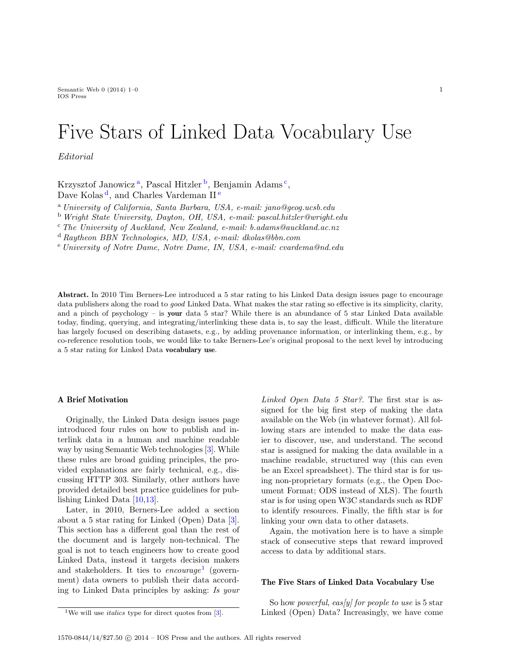Semantic Web  $0$  (2014) 1–0 1 IOS Press

# Five Stars of Linked Data Vocabulary Use

Editorial

Krzysztof J[a](#page-0-0)nowicz<sup>a</sup>, Pascal Hitzler<sup>[b](#page-0-1)</sup>, Benjamin Adams<sup>[c](#page-0-2)</sup>, Dave Kolas<sup>[d](#page-0-3)</sup>, and Charl[e](#page-0-4)s Vardeman II<sup>e</sup>

<span id="page-0-0"></span><sup>a</sup> University of California, Santa Barbara, USA, e-mail: jano@geog.ucsb.edu

<span id="page-0-1"></span><sup>b</sup> Wright State University, Dayton, OH, USA, e-mail: pascal.hitzler@wright.edu

<span id="page-0-2"></span> $c$  The University of Auckland, New Zealand, e-mail: b.adams@auckland.ac.nz

<span id="page-0-3"></span><sup>d</sup> Raytheon BBN Technologies, MD, USA, e-mail: dkolas@bbn.com

<span id="page-0-4"></span><sup>e</sup> University of Notre Dame, Notre Dame, IN, USA, e-mail: cvardema@nd.edu

Abstract. In 2010 Tim Berners-Lee introduced a 5 star rating to his Linked Data design issues page to encourage data publishers along the road to *good* Linked Data. What makes the star rating so effective is its simplicity, clarity, and a pinch of psychology – is your data 5 star? While there is an abundance of 5 star Linked Data available today, finding, querying, and integrating/interlinking these data is, to say the least, difficult. While the literature has largely focused on describing datasets, e.g., by adding provenance information, or interlinking them, e.g., by co-reference resolution tools, we would like to take Berners-Lee's original proposal to the next level by introducing a 5 star rating for Linked Data vocabulary use.

# A Brief Motivation

Originally, the Linked Data design issues page introduced four rules on how to publish and interlink data in a human and machine readable way by using Semantic Web technologies [\[3\]](#page-2-0). While these rules are broad guiding principles, the provided explanations are fairly technical, e.g., discussing HTTP 303. Similarly, other authors have provided detailed best practice guidelines for publishing Linked Data [\[10](#page-3-0)[,13\]](#page-3-1).

Later, in 2010, Berners-Lee added a section about a 5 star rating for Linked (Open) Data [\[3\]](#page-2-0). This section has a different goal than the rest of the document and is largely non-technical. The goal is not to teach engineers how to create good Linked Data, instead it targets decision makers and stakeholders. It ties to encourage<sup>[1](#page-0-5)</sup> (government) data owners to publish their data according to Linked Data principles by asking: Is your

<span id="page-0-5"></span><sup>1</sup>We will use *italics* type for direct quotes from  $[3]$ .

Linked Open Data 5 Star?. The first star is assigned for the big first step of making the data available on the Web (in whatever format). All following stars are intended to make the data easier to discover, use, and understand. The second star is assigned for making the data available in a machine readable, structured way (this can even be an Excel spreadsheet). The third star is for using non-proprietary formats (e.g., the Open Document Format; ODS instead of XLS). The fourth star is for using open W3C standards such as RDF to identify resources. Finally, the fifth star is for linking your own data to other datasets.

Again, the motivation here is to have a simple stack of consecutive steps that reward improved access to data by additional stars.

# The Five Stars of Linked Data Vocabulary Use

So how powerful, eas(y) for people to use is  $5 \text{ star}$ Linked (Open) Data? Increasingly, we have come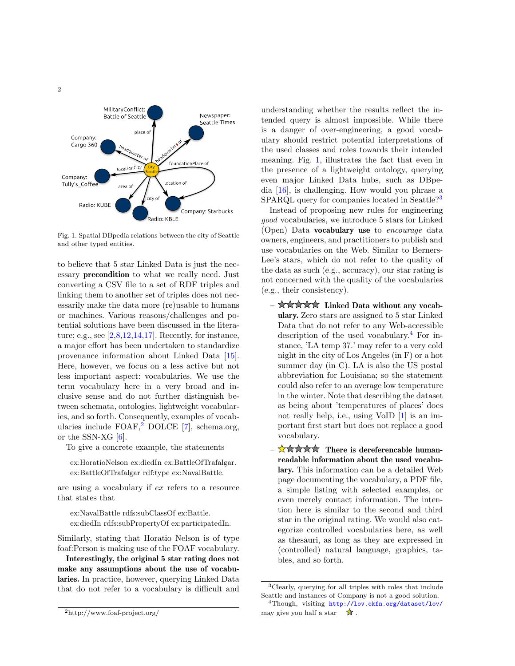

<span id="page-1-1"></span>Fig. 1. Spatial DBpedia relations between the city of Seattle and other typed entities.

to believe that 5 star Linked Data is just the necessary precondition to what we really need. Just converting a CSV file to a set of RDF triples and linking them to another set of triples does not necessarily make the data more (re)usable to humans or machines. Various reasons/challenges and potential solutions have been discussed in the literature; e.g., see [\[2,](#page-2-1)[8,](#page-3-2)[12,](#page-3-3)[14,](#page-3-4)[17\]](#page-3-5). Recently, for instance, a major effort has been undertaken to standardize provenance information about Linked Data [\[15\]](#page-3-6). Here, however, we focus on a less active but not less important aspect: vocabularies. We use the term vocabulary here in a very broad and inclusive sense and do not further distinguish between schemata, ontologies, lightweight vocabularies, and so forth. Consequently, examples of vocabularies include  $FOAF$ ,  $2$  DOLCE [\[7\]](#page-2-2), schema.org, or the SSN-XG [\[6\]](#page-2-3).

To give a concrete example, the statements

ex:HoratioNelson ex:diedIn ex:BattleOfTrafalgar. ex:BattleOfTrafalgar rdf:type ex:NavalBattle.

are using a vocabulary if ex refers to a resource that states that

ex:NavalBattle rdfs:subClassOf ex:Battle. ex:diedIn rdfs:subPropertyOf ex:participatedIn.

Similarly, stating that Horatio Nelson is of type foaf:Person is making use of the FOAF vocabulary.

<span id="page-1-0"></span>Interestingly, the original 5 star rating does not make any assumptions about the use of vocabularies. In practice, however, querying Linked Data that do not refer to a vocabulary is difficult and

Instead of proposing new rules for engineering good vocabularies, we introduce 5 stars for Linked (Open) Data vocabulary use to encourage data owners, engineers, and practitioners to publish and use vocabularies on the Web. Similar to Berners-Lee's stars, which do not refer to the quality of the data as such (e.g., accuracy), our star rating is not concerned with the quality of the vocabularies (e.g., their consistency).

- $-\star\star\star\star\star$  Linked Data without any vocabulary. Zero stars are assigned to 5 star Linked Data that do not refer to any Web-accessible description of the used vocabulary.<sup>[4](#page-1-3)</sup> For instance, 'LA temp 37.' may refer to a very cold night in the city of Los Angeles (in F) or a hot summer day (in C). LA is also the US postal abbreviation for Louisiana; so the statement could also refer to an average low temperature in the winter. Note that describing the dataset as being about 'temperatures of places' does not really help, i.e., using VoID [\[1\]](#page-2-4) is an important first start but does not replace a good vocabulary.
- There is dereferencable humanreadable information about the used vocabulary. This information can be a detailed Web page documenting the vocabulary, a PDF file, a simple listing with selected examples, or even merely contact information. The intention here is similar to the second and third star in the original rating. We would also categorize controlled vocabularies here, as well as thesauri, as long as they are expressed in (controlled) natural language, graphics, tables, and so forth.

understanding whether the results reflect the intended query is almost impossible. While there is a danger of over-engineering, a good vocabulary should restrict potential interpretations of the used classes and roles towards their intended meaning. Fig. [1,](#page-1-1) illustrates the fact that even in the presence of a lightweight ontology, querying even major Linked Data hubs, such as DBpedia [\[16\]](#page-3-7), is challenging. How would you phrase a SPARQL query for companies located in Seattle?<sup>[3](#page-1-2)</sup>

<span id="page-1-2"></span><sup>3</sup>Clearly, querying for all triples with roles that include Seattle and instances of Company is not a good solution.

<span id="page-1-3"></span><sup>4</sup>Though, visiting <http://lov.okfn.org/dataset/lov/> may give you half a star  $\mathbf{\hat{x}}$ .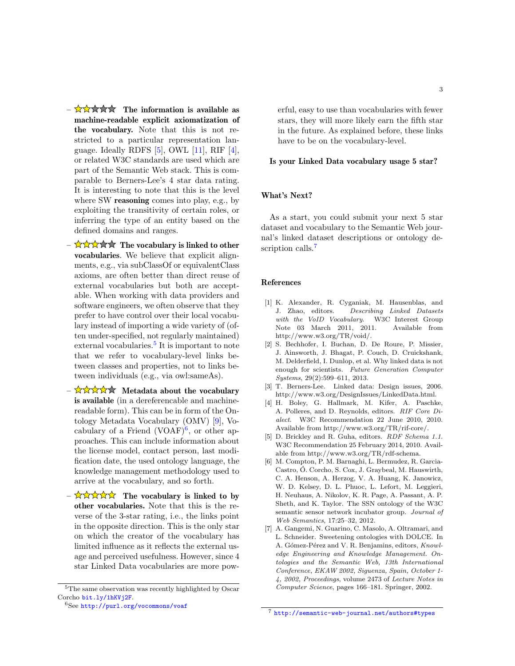- $-\sqrt{2\sqrt{2\pi}}$  The information is available as machine-readable explicit axiomatization of the vocabulary. Note that this is not restricted to a particular representation language. Ideally RDFS [\[5\]](#page-2-5), OWL [\[11\]](#page-3-8), RIF [\[4\]](#page-2-6), or related W3C standards are used which are part of the Semantic Web stack. This is comparable to Berners-Lee's 4 star data rating. It is interesting to note that this is the level where SW **reasoning** comes into play, e.g., by exploiting the transitivity of certain roles, or inferring the type of an entity based on the defined domains and ranges.
- $-\frac{1}{N}\sqrt{\sqrt{N}}\sqrt{\sqrt{N}}$  The vocabulary is linked to other vocabularies. We believe that explicit alignments, e.g., via subClassOf or equivalentClass axioms, are often better than direct reuse of external vocabularies but both are acceptable. When working with data providers and software engineers, we often observe that they prefer to have control over their local vocabulary instead of importing a wide variety of (often under-specified, not regularly maintained) external vocabularies.<sup>[5](#page-2-7)</sup> It is important to note that we refer to vocabulary-level links between classes and properties, not to links between individuals (e.g., via owl:sameAs).
- $-\frac{\sqrt{2}}{\sqrt{2}}\sqrt{\sqrt{2}}$  Metadata about the vocabulary is available (in a dereferencable and machinereadable form). This can be in form of the Ontology Metadata Vocabulary (OMV) [\[9\]](#page-3-9), Vocabulary of a Friend  $(VOAF)^6$  $(VOAF)^6$ , or other approaches. This can include information about the license model, contact person, last modification date, the used ontology language, the knowledge management methodology used to arrive at the vocabulary, and so forth.
- $-\frac{1}{\sqrt{2}}\sqrt{\sqrt{2}}\sqrt{\sqrt{2}}$  The vocabulary is linked to by other vocabularies. Note that this is the reverse of the 3-star rating, i.e., the links point in the opposite direction. This is the only star on which the creator of the vocabulary has limited influence as it reflects the external usage and perceived usefulness. However, since 4 star Linked Data vocabularies are more pow-

<span id="page-2-8"></span> ${}^{6}$ See <http://purl.org/vocommons/voaf>

erful, easy to use than vocabularies with fewer stars, they will more likely earn the fifth star in the future. As explained before, these links have to be on the vocabulary-level.

#### Is your Linked Data vocabulary usage 5 star?

# What's Next?

As a start, you could submit your next 5 star dataset and vocabulary to the Semantic Web journal's linked dataset descriptions or ontology de-scription calls.<sup>[7](#page-2-9)</sup>

## References

- <span id="page-2-4"></span>[1] K. Alexander, R. Cyganiak, M. Hausenblas, and J. Zhao, editors. Describing Linked Datasets with the VoID Vocabulary. W3C Interest Group Note 03 March 2011, 2011. Available from http://www.w3.org/TR/void/.
- <span id="page-2-1"></span>[2] S. Bechhofer, I. Buchan, D. De Roure, P. Missier, J. Ainsworth, J. Bhagat, P. Couch, D. Cruickshank, M. Delderfield, I. Dunlop, et al. Why linked data is not enough for scientists. Future Generation Computer Systems, 29(2):599–611, 2013.
- <span id="page-2-0"></span>[3] T. Berners-Lee. Linked data: Design issues, 2006. http://www.w3.org/DesignIssues/LinkedData.html.
- <span id="page-2-6"></span>[4] H. Boley, G. Hallmark, M. Kifer, A. Paschke, A. Polleres, and D. Reynolds, editors. RIF Core Dialect. W3C Recommendation 22 June 2010, 2010. Available from http://www.w3.org/TR/rif-core/.
- <span id="page-2-5"></span>[5] D. Brickley and R. Guha, editors. RDF Schema 1.1. W3C Recommendation 25 February 2014, 2010. Available from http://www.w3.org/TR/rdf-schema.
- <span id="page-2-3"></span>[6] M. Compton, P. M. Barnaghi, L. Bermudez, R. Garcia-Castro, O. Corcho, S. Cox, J. Graybeal, M. Hauswirth, ´ C. A. Henson, A. Herzog, V. A. Huang, K. Janowicz, W. D. Kelsey, D. L. Phuoc, L. Lefort, M. Leggieri, H. Neuhaus, A. Nikolov, K. R. Page, A. Passant, A. P. Sheth, and K. Taylor. The SSN ontology of the W3C semantic sensor network incubator group. Journal of Web Semantics, 17:25–32, 2012.
- <span id="page-2-2"></span>[7] A. Gangemi, N. Guarino, C. Masolo, A. Oltramari, and L. Schneider. Sweetening ontologies with DOLCE. In A. Gómez-Pérez and V. R. Benjamins, editors, Knowledge Engineering and Knowledge Management. Ontologies and the Semantic Web, 13th International Conference, EKAW 2002, Siguenza, Spain, October 1- 4, 2002, Proceedings, volume 2473 of Lecture Notes in Computer Science, pages 166–181. Springer, 2002.

<span id="page-2-7"></span><sup>5</sup>The same observation was recently highlighted by Oscar Corcho <bit.ly/1hKVj2F>.

<span id="page-2-9"></span><sup>7</sup> <http://semantic-web-journal.net/authors#types>